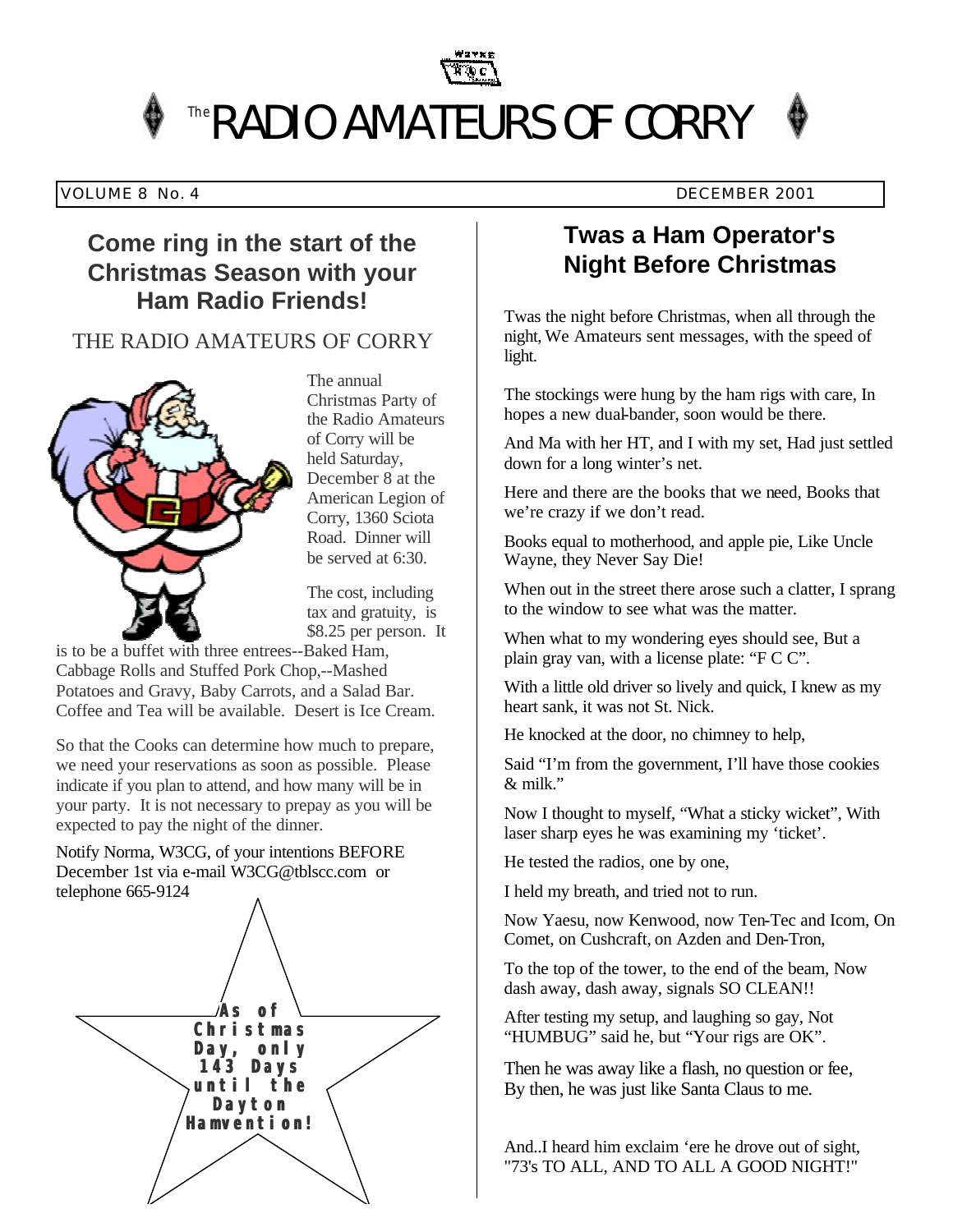

#### VOLUME 8 No. 4 DECEMBER 2001

## **Come ring in the start of the Christmas Season with your Ham Radio Friends!**

## THE RADIO AMATEURS OF CORRY



The annual Christmas Party of the Radio Amateurs of Corry will be held Saturday, December 8 at the American Legion of Corry, 1360 Sciota Road. Dinner will be served at 6:30.

The cost, including tax and gratuity, is \$8.25 per person. It

is to be a buffet with three entrees--Baked Ham, Cabbage Rolls and Stuffed Pork Chop,--Mashed Potatoes and Gravy, Baby Carrots, and a Salad Bar. Coffee and Tea will be available. Desert is Ice Cream.

So that the Cooks can determine how much to prepare, we need your reservations as soon as possible. Please indicate if you plan to attend, and how many will be in your party. It is not necessary to prepay as you will be expected to pay the night of the dinner.

Notify Norma, W3CG, of your intentions BEFORE December 1st via e-mail W3CG@tblscc.com or telephone 665-9124



# **Twas a Ham Operator's Night Before Christmas**

Twas the night before Christmas, when all through the night, We Amateurs sent messages, with the speed of light.

The stockings were hung by the ham rigs with care, In hopes a new dual-bander, soon would be there.

And Ma with her HT, and I with my set, Had just settled down for a long winter's net.

Here and there are the books that we need, Books that we're crazy if we don't read.

Books equal to motherhood, and apple pie, Like Uncle Wayne, they Never Say Die!

When out in the street there arose such a clatter, I sprang to the window to see what was the matter.

When what to my wondering eyes should see, But a plain gray van, with a license plate: "F C C".

With a little old driver so lively and quick, I knew as my heart sank, it was not St. Nick.

He knocked at the door, no chimney to help,

Said "I'm from the government, I'll have those cookies & milk."

Now I thought to myself, "What a sticky wicket", With laser sharp eyes he was examining my 'ticket'.

He tested the radios, one by one,

I held my breath, and tried not to run.

Now Yaesu, now Kenwood, now Ten-Tec and Icom, On Comet, on Cushcraft, on Azden and Den-Tron,

To the top of the tower, to the end of the beam, Now dash away, dash away, signals SO CLEAN!!

After testing my setup, and laughing so gay, Not "HUMBUG" said he, but "Your rigs are OK".

Then he was away like a flash, no question or fee, By then, he was just like Santa Claus to me.

And..I heard him exclaim 'ere he drove out of sight, "73's TO ALL, AND TO ALL A GOOD NIGHT!"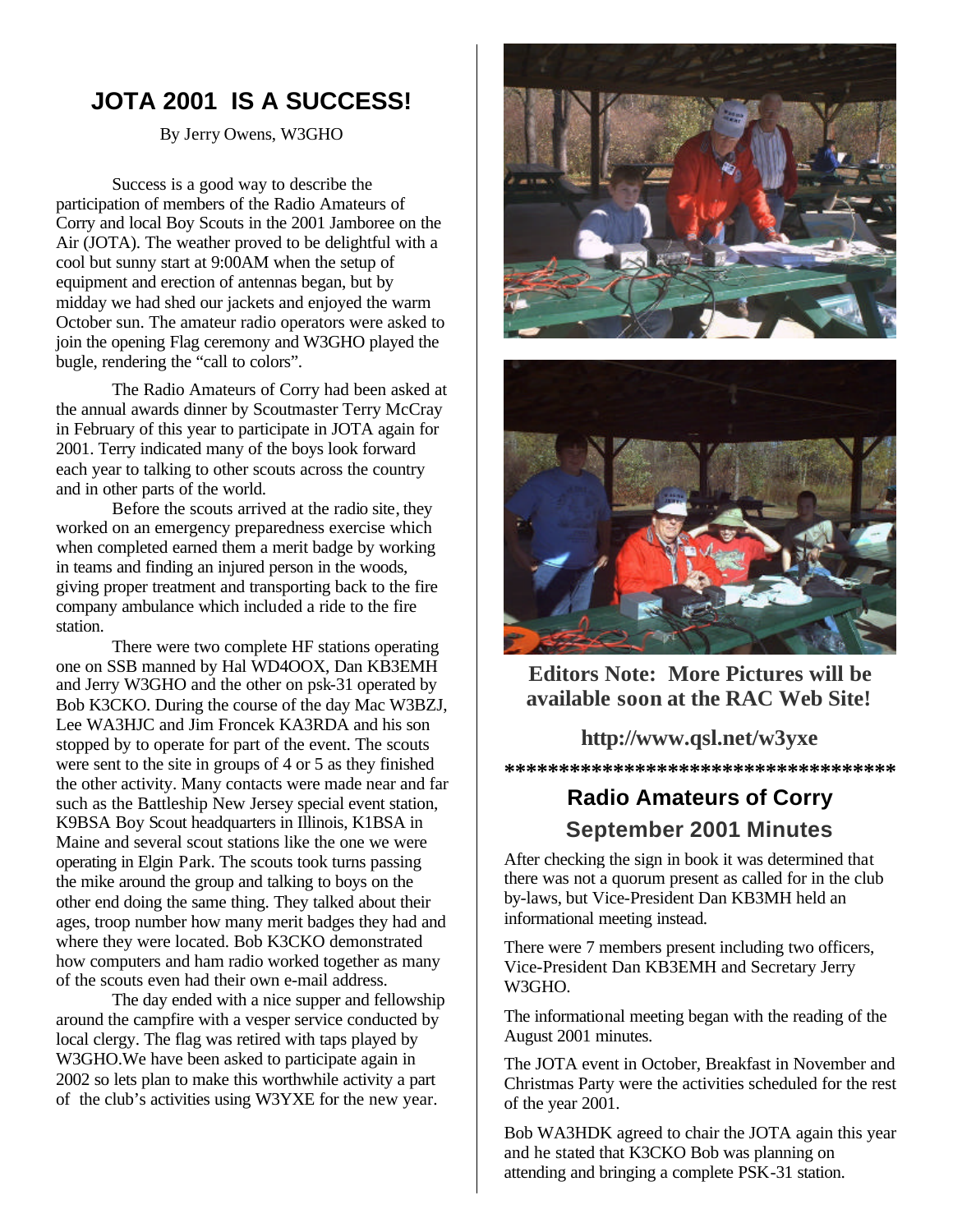# **JOTA 2001 IS A SUCCESS!**

By Jerry Owens, W3GHO

Success is a good way to describe the participation of members of the Radio Amateurs of Corry and local Boy Scouts in the 2001 Jamboree on the Air (JOTA). The weather proved to be delightful with a cool but sunny start at 9:00AM when the setup of equipment and erection of antennas began, but by midday we had shed our jackets and enjoyed the warm October sun. The amateur radio operators were asked to join the opening Flag ceremony and W3GHO played the bugle, rendering the "call to colors".

The Radio Amateurs of Corry had been asked at the annual awards dinner by Scoutmaster Terry McCray in February of this year to participate in JOTA again for 2001. Terry indicated many of the boys look forward each year to talking to other scouts across the country and in other parts of the world.

Before the scouts arrived at the radio site, they worked on an emergency preparedness exercise which when completed earned them a merit badge by working in teams and finding an injured person in the woods, giving proper treatment and transporting back to the fire company ambulance which included a ride to the fire station.

There were two complete HF stations operating one on SSB manned by Hal WD4OOX, Dan KB3EMH and Jerry W3GHO and the other on psk-31 operated by Bob K3CKO. During the course of the day Mac W3BZJ, Lee WA3HJC and Jim Froncek KA3RDA and his son stopped by to operate for part of the event. The scouts were sent to the site in groups of 4 or 5 as they finished the other activity. Many contacts were made near and far such as the Battleship New Jersey special event station, K9BSA Boy Scout headquarters in Illinois, K1BSA in Maine and several scout stations like the one we were operating in Elgin Park. The scouts took turns passing the mike around the group and talking to boys on the other end doing the same thing. They talked about their ages, troop number how many merit badges they had and where they were located. Bob K3CKO demonstrated how computers and ham radio worked together as many of the scouts even had their own e-mail address.

The day ended with a nice supper and fellowship around the campfire with a vesper service conducted by local clergy. The flag was retired with taps played by W3GHO.We have been asked to participate again in 2002 so lets plan to make this worthwhile activity a part of the club's activities using W3YXE for the new year.





**Editors Note: More Pictures will be available soon at the RAC Web Site!** 

### **http://www.qsl.net/w3yxe**

**\*\*\*\*\*\*\*\*\*\*\*\*\*\*\*\*\*\*\*\*\*\*\*\*\*\*\*\*\*\*\*\*\*\*\*\***

## **Radio Amateurs of Corry September 2001 Minutes**

After checking the sign in book it was determined that there was not a quorum present as called for in the club by-laws, but Vice-President Dan KB3MH held an informational meeting instead.

There were 7 members present including two officers, Vice-President Dan KB3EMH and Secretary Jerry W3GHO.

The informational meeting began with the reading of the August 2001 minutes.

The JOTA event in October, Breakfast in November and Christmas Party were the activities scheduled for the rest of the year 2001.

Bob WA3HDK agreed to chair the JOTA again this year and he stated that K3CKO Bob was planning on attending and bringing a complete PSK-31 station.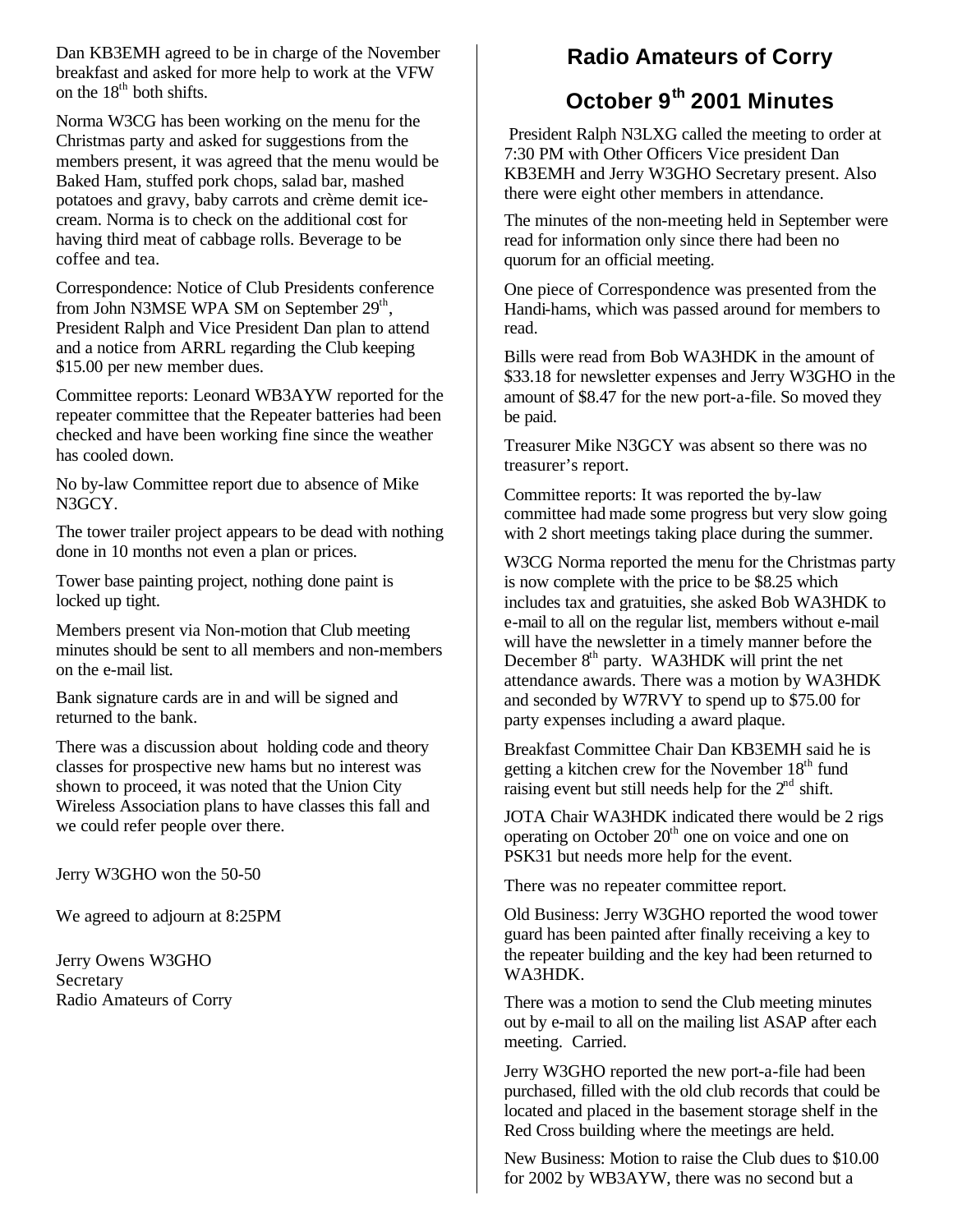Dan KB3EMH agreed to be in charge of the November breakfast and asked for more help to work at the VFW on the  $18<sup>th</sup>$  both shifts.

Norma W3CG has been working on the menu for the Christmas party and asked for suggestions from the members present, it was agreed that the menu would be Baked Ham, stuffed pork chops, salad bar, mashed potatoes and gravy, baby carrots and crème demit icecream. Norma is to check on the additional cost for having third meat of cabbage rolls. Beverage to be coffee and tea.

Correspondence: Notice of Club Presidents conference from John N3MSE WPA SM on September 29<sup>th</sup>, President Ralph and Vice President Dan plan to attend and a notice from ARRL regarding the Club keeping \$15.00 per new member dues.

Committee reports: Leonard WB3AYW reported for the repeater committee that the Repeater batteries had been checked and have been working fine since the weather has cooled down.

No by-law Committee report due to absence of Mike N3GCY.

The tower trailer project appears to be dead with nothing done in 10 months not even a plan or prices.

Tower base painting project, nothing done paint is locked up tight.

Members present via Non-motion that Club meeting minutes should be sent to all members and non-members on the e-mail list.

Bank signature cards are in and will be signed and returned to the bank.

There was a discussion about holding code and theory classes for prospective new hams but no interest was shown to proceed, it was noted that the Union City Wireless Association plans to have classes this fall and we could refer people over there.

Jerry W3GHO won the 50-50

We agreed to adjourn at 8:25PM

Jerry Owens W3GHO Secretary Radio Amateurs of Corry

## **Radio Amateurs of Corry**

## **October 9th 2001 Minutes**

President Ralph N3LXG called the meeting to order at 7:30 PM with Other Officers Vice president Dan KB3EMH and Jerry W3GHO Secretary present. Also there were eight other members in attendance.

The minutes of the non-meeting held in September were read for information only since there had been no quorum for an official meeting.

One piece of Correspondence was presented from the Handi-hams, which was passed around for members to read.

Bills were read from Bob WA3HDK in the amount of \$33.18 for newsletter expenses and Jerry W3GHO in the amount of \$8.47 for the new port-a-file. So moved they be paid.

Treasurer Mike N3GCY was absent so there was no treasurer's report.

Committee reports: It was reported the by-law committee had made some progress but very slow going with 2 short meetings taking place during the summer.

W3CG Norma reported the menu for the Christmas party is now complete with the price to be \$8.25 which includes tax and gratuities, she asked Bob WA3HDK to e-mail to all on the regular list, members without e-mail will have the newsletter in a timely manner before the December  $8<sup>th</sup>$  party. WA3HDK will print the net attendance awards. There was a motion by WA3HDK and seconded by W7RVY to spend up to \$75.00 for party expenses including a award plaque.

Breakfast Committee Chair Dan KB3EMH said he is getting a kitchen crew for the November  $18<sup>th</sup>$  fund raising event but still needs help for the  $2<sup>nd</sup>$  shift.

JOTA Chair WA3HDK indicated there would be 2 rigs operating on October  $20<sup>th</sup>$  one on voice and one on PSK31 but needs more help for the event.

There was no repeater committee report.

Old Business: Jerry W3GHO reported the wood tower guard has been painted after finally receiving a key to the repeater building and the key had been returned to WA3HDK.

There was a motion to send the Club meeting minutes out by e-mail to all on the mailing list ASAP after each meeting. Carried.

Jerry W3GHO reported the new port-a-file had been purchased, filled with the old club records that could be located and placed in the basement storage shelf in the Red Cross building where the meetings are held.

New Business: Motion to raise the Club dues to \$10.00 for 2002 by WB3AYW, there was no second but a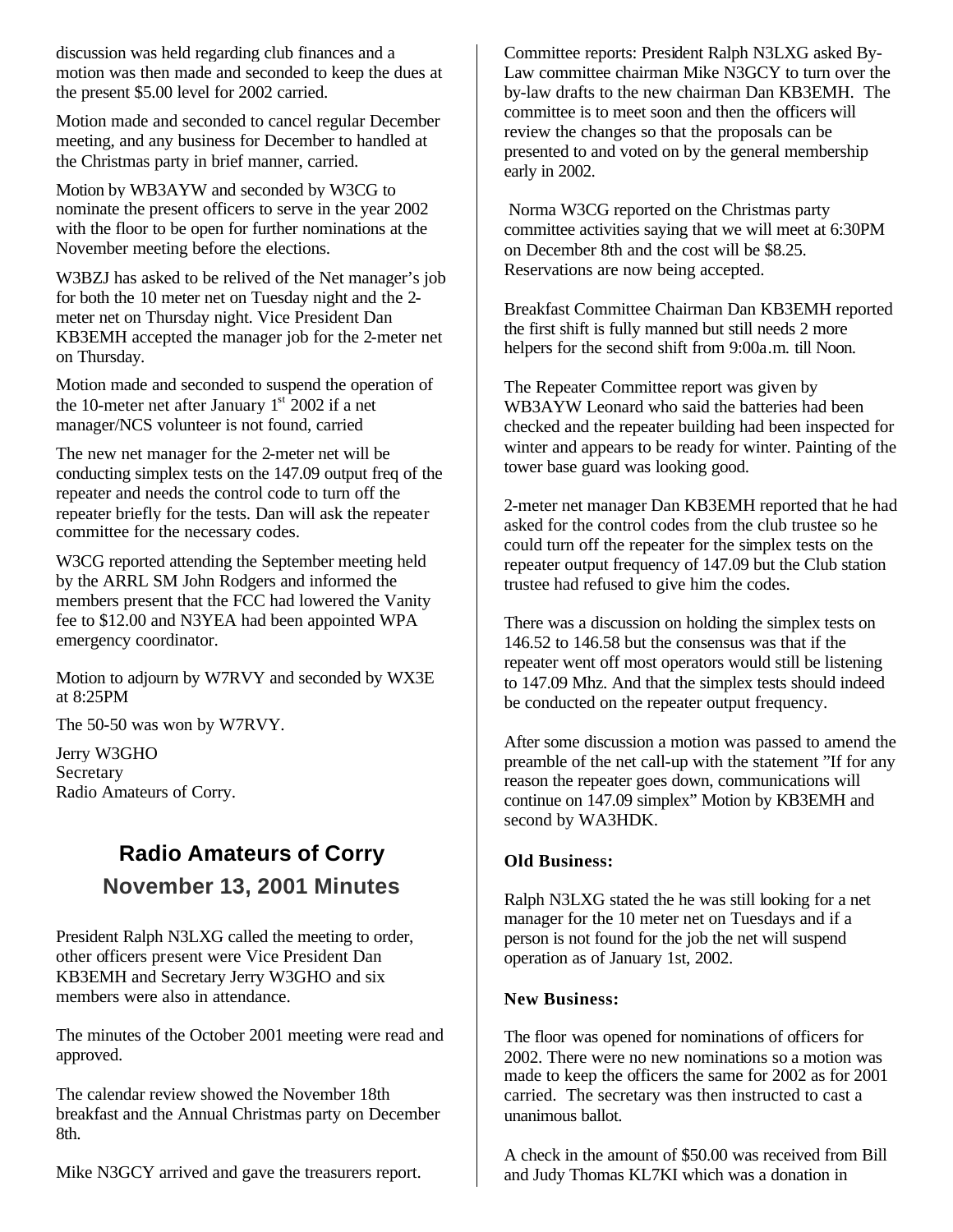discussion was held regarding club finances and a motion was then made and seconded to keep the dues at the present \$5.00 level for 2002 carried.

Motion made and seconded to cancel regular December meeting, and any business for December to handled at the Christmas party in brief manner, carried.

Motion by WB3AYW and seconded by W3CG to nominate the present officers to serve in the year 2002 with the floor to be open for further nominations at the November meeting before the elections.

W3BZJ has asked to be relived of the Net manager's job for both the 10 meter net on Tuesday night and the 2 meter net on Thursday night. Vice President Dan KB3EMH accepted the manager job for the 2-meter net on Thursday.

Motion made and seconded to suspend the operation of the 10-meter net after January  $1<sup>st</sup>$  2002 if a net manager/NCS volunteer is not found, carried

The new net manager for the 2-meter net will be conducting simplex tests on the 147.09 output freq of the repeater and needs the control code to turn off the repeater briefly for the tests. Dan will ask the repeater committee for the necessary codes.

W3CG reported attending the September meeting held by the ARRL SM John Rodgers and informed the members present that the FCC had lowered the Vanity fee to \$12.00 and N3YEA had been appointed WPA emergency coordinator.

Motion to adjourn by W7RVY and seconded by WX3E at 8:25PM

The 50-50 was won by W7RVY.

Jerry W3GHO Secretary Radio Amateurs of Corry.

# **Radio Amateurs of Corry November 13, 2001 Minutes**

President Ralph N3LXG called the meeting to order, other officers present were Vice President Dan KB3EMH and Secretary Jerry W3GHO and six members were also in attendance.

The minutes of the October 2001 meeting were read and approved.

The calendar review showed the November 18th breakfast and the Annual Christmas party on December 8th.

Mike N3GCY arrived and gave the treasurers report.

Committee reports: President Ralph N3LXG asked By-Law committee chairman Mike N3GCY to turn over the by-law drafts to the new chairman Dan KB3EMH. The committee is to meet soon and then the officers will review the changes so that the proposals can be presented to and voted on by the general membership early in 2002.

 Norma W3CG reported on the Christmas party committee activities saying that we will meet at 6:30PM on December 8th and the cost will be \$8.25. Reservations are now being accepted.

Breakfast Committee Chairman Dan KB3EMH reported the first shift is fully manned but still needs 2 more helpers for the second shift from 9:00a.m. till Noon.

The Repeater Committee report was given by WB3AYW Leonard who said the batteries had been checked and the repeater building had been inspected for winter and appears to be ready for winter. Painting of the tower base guard was looking good.

2-meter net manager Dan KB3EMH reported that he had asked for the control codes from the club trustee so he could turn off the repeater for the simplex tests on the repeater output frequency of 147.09 but the Club station trustee had refused to give him the codes.

There was a discussion on holding the simplex tests on 146.52 to 146.58 but the consensus was that if the repeater went off most operators would still be listening to 147.09 Mhz. And that the simplex tests should indeed be conducted on the repeater output frequency.

After some discussion a motion was passed to amend the preamble of the net call-up with the statement "If for any reason the repeater goes down, communications will continue on 147.09 simplex" Motion by KB3EMH and second by WA3HDK.

#### **Old Business:**

Ralph N3LXG stated the he was still looking for a net manager for the 10 meter net on Tuesdays and if a person is not found for the job the net will suspend operation as of January 1st, 2002.

#### **New Business:**

The floor was opened for nominations of officers for 2002. There were no new nominations so a motion was made to keep the officers the same for 2002 as for 2001 carried. The secretary was then instructed to cast a unanimous ballot.

A check in the amount of \$50.00 was received from Bill and Judy Thomas KL7KI which was a donation in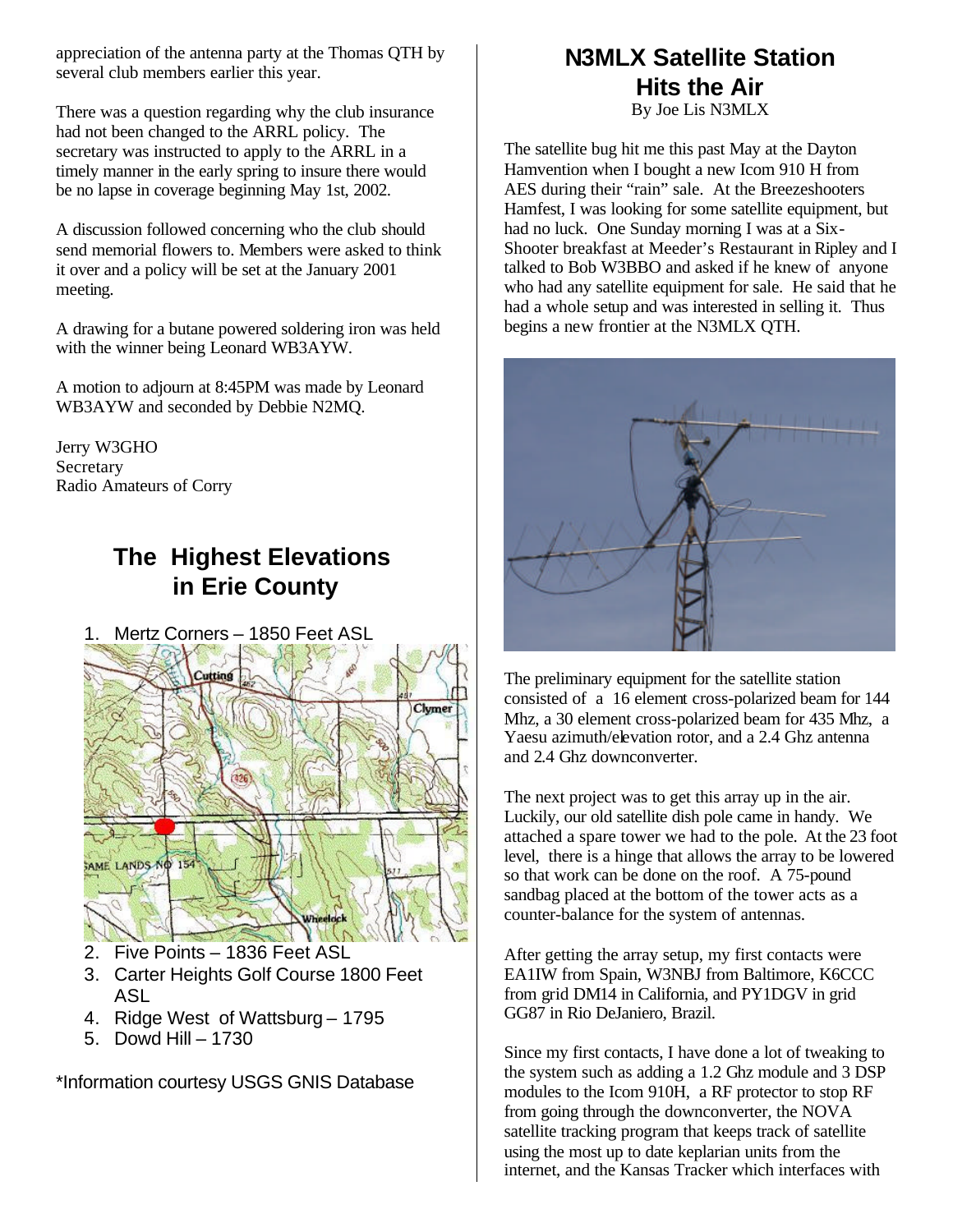appreciation of the antenna party at the Thomas QTH by several club members earlier this year.

There was a question regarding why the club insurance had not been changed to the ARRL policy. The secretary was instructed to apply to the ARRL in a timely manner in the early spring to insure there would be no lapse in coverage beginning May 1st, 2002.

A discussion followed concerning who the club should send memorial flowers to. Members were asked to think it over and a policy will be set at the January 2001 meeting.

A drawing for a butane powered soldering iron was held with the winner being Leonard WB3AYW.

A motion to adjourn at 8:45PM was made by Leonard WB3AYW and seconded by Debbie N2MQ.

Jerry W3GHO Secretary Radio Amateurs of Corry

# **The Highest Elevations in Erie County**

1. Mertz Corners – 1850 Feet ASL



- 2. Five Points 1836 Feet ASL
- 3. Carter Heights Golf Course 1800 Feet ASL
- 4. Ridge West of Wattsburg 1795
- 5. Dowd Hill 1730

\*Information courtesy USGS GNIS Database

## **N3MLX Satellite Station Hits the Air** By Joe Lis N3MLX

The satellite bug hit me this past May at the Dayton Hamvention when I bought a new Icom 910 H from AES during their "rain" sale. At the Breezeshooters Hamfest, I was looking for some satellite equipment, but had no luck. One Sunday morning I was at a Six-Shooter breakfast at Meeder's Restaurant in Ripley and I talked to Bob W3BBO and asked if he knew of anyone who had any satellite equipment for sale. He said that he had a whole setup and was interested in selling it. Thus begins a new frontier at the N3MLX QTH.



The preliminary equipment for the satellite station consisted of a 16 element cross-polarized beam for 144 Mhz, a 30 element cross-polarized beam for 435 Mhz, a Yaesu azimuth/elevation rotor, and a 2.4 Ghz antenna and 2.4 Ghz downconverter.

The next project was to get this array up in the air. Luckily, our old satellite dish pole came in handy. We attached a spare tower we had to the pole. At the 23 foot level, there is a hinge that allows the array to be lowered so that work can be done on the roof. A 75-pound sandbag placed at the bottom of the tower acts as a counter-balance for the system of antennas.

After getting the array setup, my first contacts were EA1IW from Spain, W3NBJ from Baltimore, K6CCC from grid DM14 in California, and PY1DGV in grid GG87 in Rio DeJaniero, Brazil.

Since my first contacts, I have done a lot of tweaking to the system such as adding a 1.2 Ghz module and 3 DSP modules to the Icom 910H, a RF protector to stop RF from going through the downconverter, the NOVA satellite tracking program that keeps track of satellite using the most up to date keplarian units from the internet, and the Kansas Tracker which interfaces with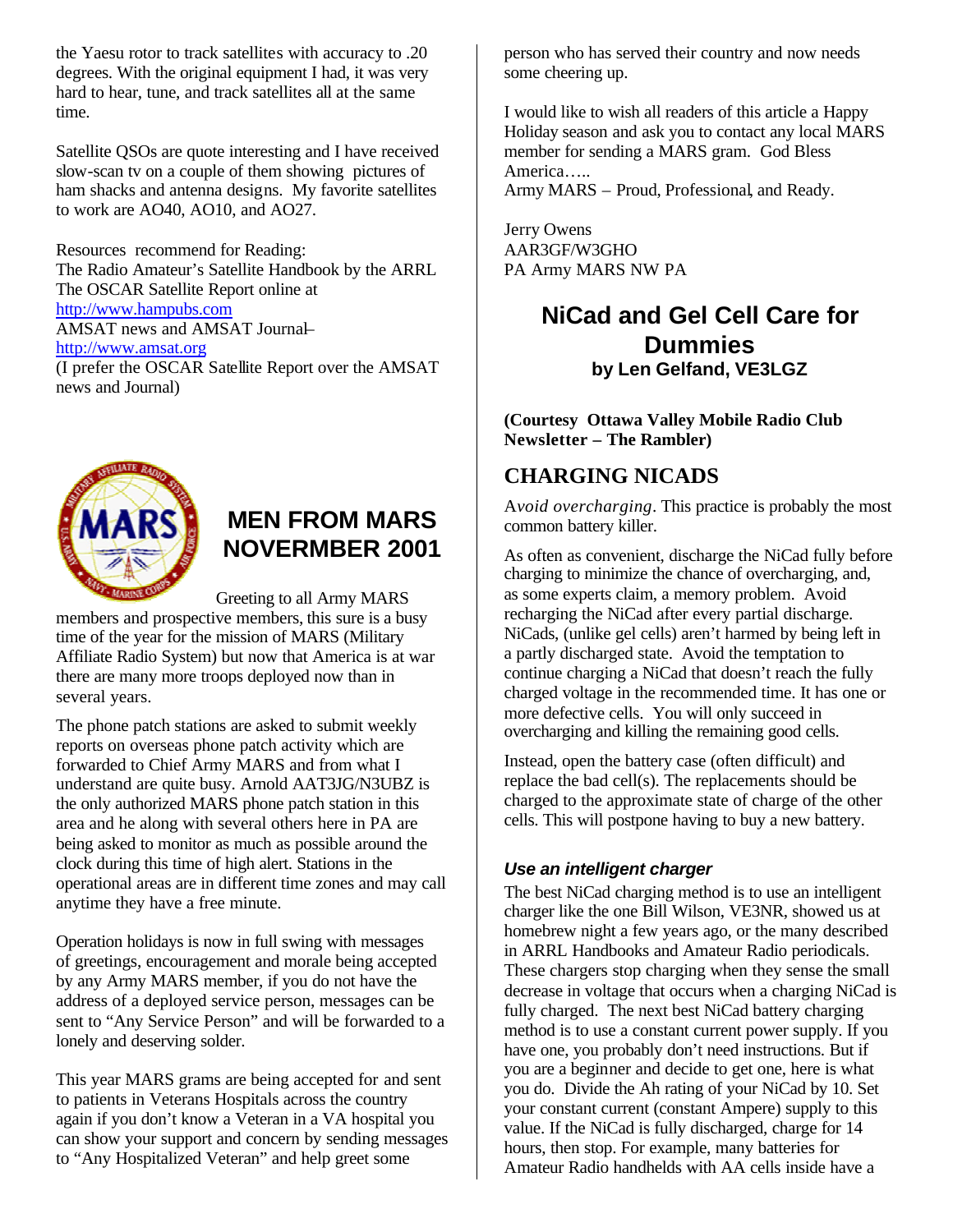the Yaesu rotor to track satellites with accuracy to .20 degrees. With the original equipment I had, it was very hard to hear, tune, and track satellites all at the same time.

Satellite QSOs are quote interesting and I have received slow-scan tv on a couple of them showing pictures of ham shacks and antenna designs. My favorite satellites to work are AO40, AO10, and AO27.

Resources recommend for Reading: The Radio Amateur's Satellite Handbook by the ARRL The OSCAR Satellite Report online at http://www.hampubs.com AMSAT news and AMSAT Journal– http://www.amsat.org (I prefer the OSCAR Satellite Report over the AMSAT news and Journal)



# **MEN FROM MARS NOVERMBER 2001**

Greeting to all Army MARS

members and prospective members, this sure is a busy time of the year for the mission of MARS (Military Affiliate Radio System) but now that America is at war there are many more troops deployed now than in several years.

The phone patch stations are asked to submit weekly reports on overseas phone patch activity which are forwarded to Chief Army MARS and from what I understand are quite busy. Arnold AAT3JG/N3UBZ is the only authorized MARS phone patch station in this area and he along with several others here in PA are being asked to monitor as much as possible around the clock during this time of high alert. Stations in the operational areas are in different time zones and may call anytime they have a free minute.

Operation holidays is now in full swing with messages of greetings, encouragement and morale being accepted by any Army MARS member, if you do not have the address of a deployed service person, messages can be sent to "Any Service Person" and will be forwarded to a lonely and deserving solder.

This year MARS grams are being accepted for and sent to patients in Veterans Hospitals across the country again if you don't know a Veteran in a VA hospital you can show your support and concern by sending messages to "Any Hospitalized Veteran" and help greet some

person who has served their country and now needs some cheering up.

I would like to wish all readers of this article a Happy Holiday season and ask you to contact any local MARS member for sending a MARS gram. God Bless America….. Army MARS – Proud, Professional, and Ready.

Jerry Owens AAR3GF/W3GHO PA Army MARS NW PA

## **NiCad and Gel Cell Care for Dummies by Len Gelfand, VE3LGZ**

**(Courtesy Ottawa Valley Mobile Radio Club Newsletter – The Rambler)**

## **CHARGING NICADS**

A*void overcharging*. This practice is probably the most common battery killer.

As often as convenient, discharge the NiCad fully before charging to minimize the chance of overcharging, and, as some experts claim, a memory problem. Avoid recharging the NiCad after every partial discharge. NiCads, (unlike gel cells) aren't harmed by being left in a partly discharged state. Avoid the temptation to continue charging a NiCad that doesn't reach the fully charged voltage in the recommended time. It has one or more defective cells. You will only succeed in overcharging and killing the remaining good cells.

Instead, open the battery case (often difficult) and replace the bad cell(s). The replacements should be charged to the approximate state of charge of the other cells. This will postpone having to buy a new battery.

### *Use an intelligent charger*

The best NiCad charging method is to use an intelligent charger like the one Bill Wilson, VE3NR, showed us at homebrew night a few years ago, or the many described in ARRL Handbooks and Amateur Radio periodicals. These chargers stop charging when they sense the small decrease in voltage that occurs when a charging NiCad is fully charged. The next best NiCad battery charging method is to use a constant current power supply. If you have one, you probably don't need instructions. But if you are a beginner and decide to get one, here is what you do. Divide the Ah rating of your NiCad by 10. Set your constant current (constant Ampere) supply to this value. If the NiCad is fully discharged, charge for 14 hours, then stop. For example, many batteries for Amateur Radio handhelds with AA cells inside have a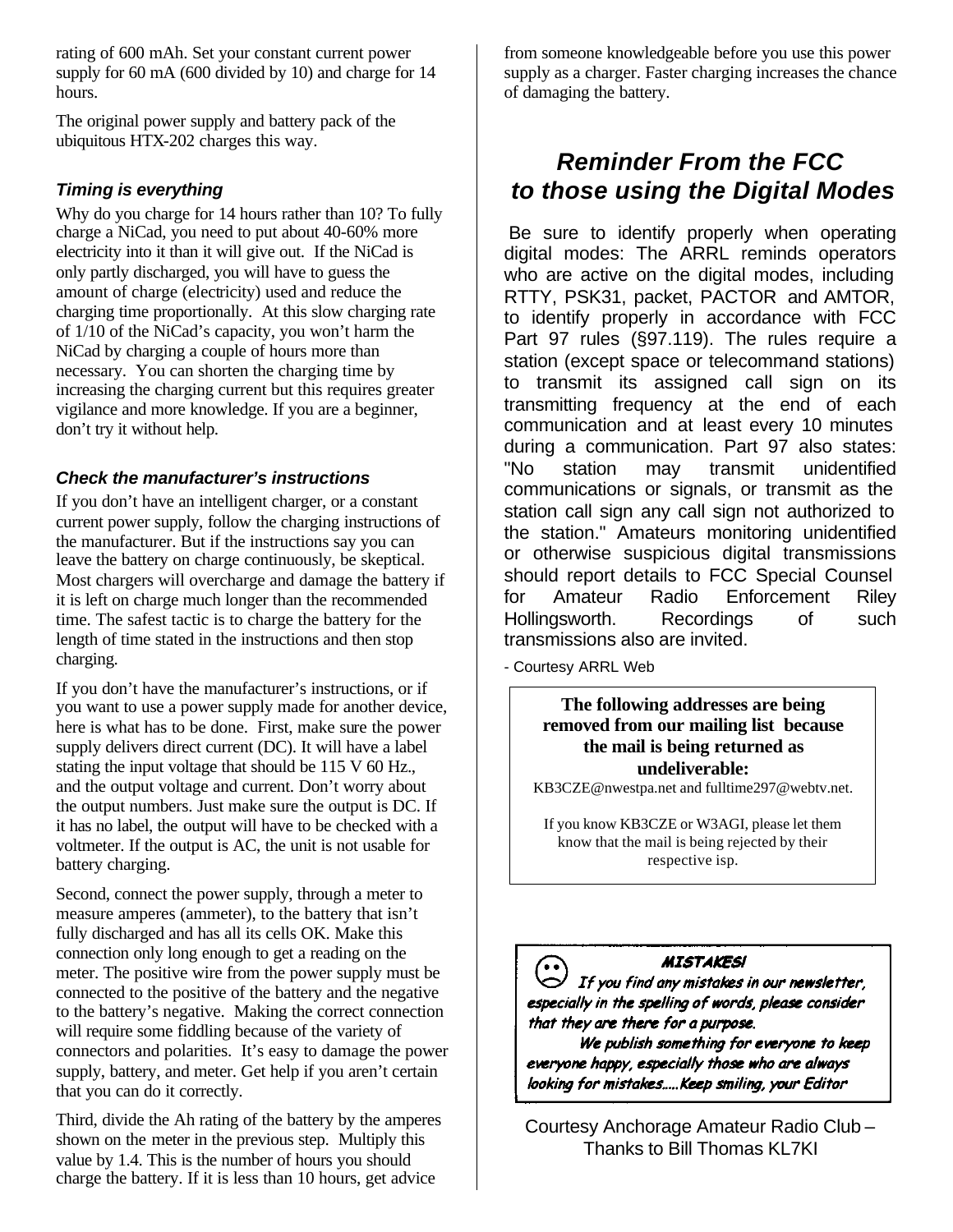rating of 600 mAh. Set your constant current power supply for 60 mA (600 divided by 10) and charge for 14 hours.

The original power supply and battery pack of the ubiquitous HTX-202 charges this way.

### *Timing is everything*

Why do you charge for 14 hours rather than 10? To fully charge a NiCad, you need to put about 40-60% more electricity into it than it will give out. If the NiCad is only partly discharged, you will have to guess the amount of charge (electricity) used and reduce the charging time proportionally. At this slow charging rate of 1/10 of the NiCad's capacity, you won't harm the NiCad by charging a couple of hours more than necessary. You can shorten the charging time by increasing the charging current but this requires greater vigilance and more knowledge. If you are a beginner, don't try it without help.

### *Check the manufacturer's instructions*

If you don't have an intelligent charger, or a constant current power supply, follow the charging instructions of the manufacturer. But if the instructions say you can leave the battery on charge continuously, be skeptical. Most chargers will overcharge and damage the battery if it is left on charge much longer than the recommended time. The safest tactic is to charge the battery for the length of time stated in the instructions and then stop charging.

If you don't have the manufacturer's instructions, or if you want to use a power supply made for another device, here is what has to be done. First, make sure the power supply delivers direct current (DC). It will have a label stating the input voltage that should be 115 V 60 Hz., and the output voltage and current. Don't worry about the output numbers. Just make sure the output is DC. If it has no label, the output will have to be checked with a voltmeter. If the output is AC, the unit is not usable for battery charging.

Second, connect the power supply, through a meter to measure amperes (ammeter), to the battery that isn't fully discharged and has all its cells OK. Make this connection only long enough to get a reading on the meter. The positive wire from the power supply must be connected to the positive of the battery and the negative to the battery's negative. Making the correct connection will require some fiddling because of the variety of connectors and polarities. It's easy to damage the power supply, battery, and meter. Get help if you aren't certain that you can do it correctly.

Third, divide the Ah rating of the battery by the amperes shown on the meter in the previous step. Multiply this value by 1.4. This is the number of hours you should charge the battery. If it is less than 10 hours, get advice

from someone knowledgeable before you use this power supply as a charger. Faster charging increases the chance of damaging the battery.

# *Reminder From the FCC to those using the Digital Modes*

Be sure to identify properly when operating digital modes: The ARRL reminds operators who are active on the digital modes, including RTTY, PSK31, packet, PACTOR and AMTOR, to identify properly in accordance with FCC Part 97 rules (§97.119). The rules require a station (except space or telecommand stations) to transmit its assigned call sign on its transmitting frequency at the end of each communication and at least every 10 minutes during a communication. Part 97 also states: "No station may transmit unidentified communications or signals, or transmit as the station call sign any call sign not authorized to the station." Amateurs monitoring unidentified or otherwise suspicious digital transmissions should report details to FCC Special Counsel for Amateur Radio Enforcement Riley Hollingsworth. Recordings of such transmissions also are invited.

- Courtesy ARRL Web

#### **The following addresses are being removed from our mailing list because the mail is being returned as undeliverable:**

KB3CZE@nwestpa.net and fulltime297@webtv.net.

If you know KB3CZE or W3AGI, please let them know that the mail is being rejected by their respective isp.

### **MISTAKESI**

 $\bigodot$  **MISTAKES!**<br>If you find any mistakes in our newsletter,<br>specially in the spelling of words, please consider. especially in the spelling of words, please consider that they are there for a purpose.

We publish something for everyone to keep everyone happy, especially those who are always looking for mistakes.....Keep smiling, your Editor

Courtesy Anchorage Amateur Radio Club – Thanks to Bill Thomas KL7KI